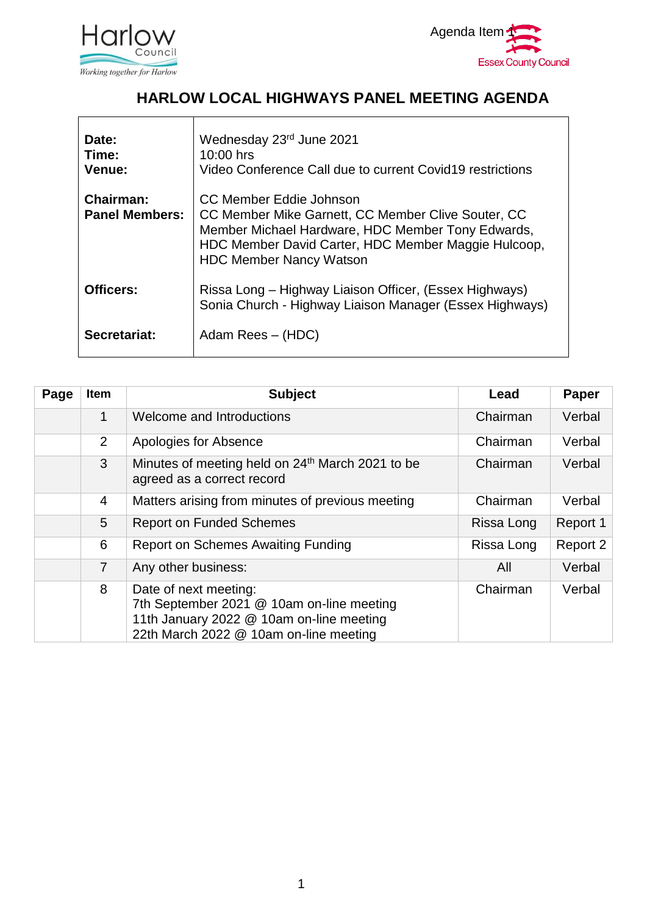



#### **HARLOW LOCAL HIGHWAYS PANEL MEETING AGENDA**

| Date:<br>Time:<br><b>Venue:</b>    | Wednesday 23rd June 2021<br>10:00 hrs<br>Video Conference Call due to current Covid19 restrictions                                                                                                                          |
|------------------------------------|-----------------------------------------------------------------------------------------------------------------------------------------------------------------------------------------------------------------------------|
| Chairman:<br><b>Panel Members:</b> | CC Member Eddie Johnson<br>CC Member Mike Garnett, CC Member Clive Souter, CC<br>Member Michael Hardware, HDC Member Tony Edwards,<br>HDC Member David Carter, HDC Member Maggie Hulcoop,<br><b>HDC Member Nancy Watson</b> |
| <b>Officers:</b>                   | Rissa Long - Highway Liaison Officer, (Essex Highways)<br>Sonia Church - Highway Liaison Manager (Essex Highways)                                                                                                           |
| Secretariat:                       | Adam Rees – (HDC)                                                                                                                                                                                                           |

| Page | Item           | <b>Subject</b>                                                                                                                                           | Lead       | Paper    |
|------|----------------|----------------------------------------------------------------------------------------------------------------------------------------------------------|------------|----------|
|      | 1              | Welcome and Introductions                                                                                                                                | Chairman   | Verbal   |
|      | $\overline{2}$ | Apologies for Absence                                                                                                                                    | Chairman   | Verbal   |
|      | $\mathbf{3}$   | Minutes of meeting held on 24 <sup>th</sup> March 2021 to be<br>agreed as a correct record                                                               | Chairman   | Verbal   |
|      | $\overline{4}$ | Matters arising from minutes of previous meeting                                                                                                         | Chairman   | Verbal   |
|      | 5              | <b>Report on Funded Schemes</b>                                                                                                                          | Rissa Long | Report 1 |
|      | 6              | <b>Report on Schemes Awaiting Funding</b>                                                                                                                | Rissa Long | Report 2 |
|      | $\overline{7}$ | Any other business:                                                                                                                                      | All        | Verbal   |
|      | 8              | Date of next meeting:<br>7th September 2021 @ 10am on-line meeting<br>11th January 2022 @ 10am on-line meeting<br>22th March 2022 @ 10am on-line meeting | Chairman   | Verbal   |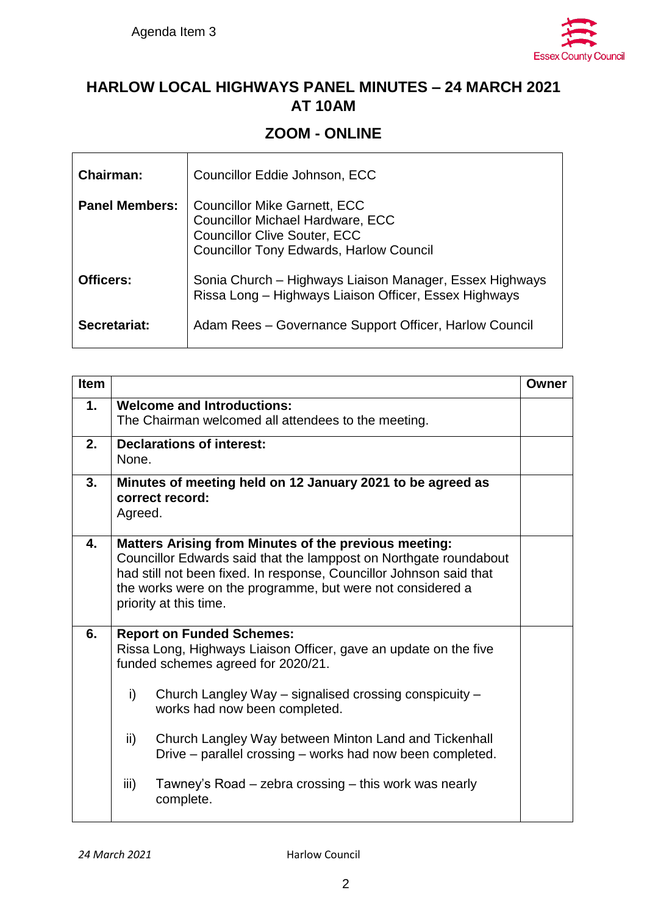

#### **HARLOW LOCAL HIGHWAYS PANEL MINUTES – 24 MARCH 2021 AT 10AM**

#### **ZOOM - ONLINE**

| <b>Chairman:</b>      | Councillor Eddie Johnson, ECC                                                                                                                                           |
|-----------------------|-------------------------------------------------------------------------------------------------------------------------------------------------------------------------|
| <b>Panel Members:</b> | <b>Councillor Mike Garnett, ECC</b><br><b>Councillor Michael Hardware, ECC</b><br><b>Councillor Clive Souter, ECC</b><br><b>Councillor Tony Edwards, Harlow Council</b> |
| Officers:             | Sonia Church – Highways Liaison Manager, Essex Highways<br>Rissa Long - Highways Liaison Officer, Essex Highways                                                        |
| Secretariat:          | Adam Rees - Governance Support Officer, Harlow Council                                                                                                                  |

| <b>Item</b> |                                                                                                                                                                                                                                                                                                                                                                                                                                                        | Owner |  |  |  |  |  |
|-------------|--------------------------------------------------------------------------------------------------------------------------------------------------------------------------------------------------------------------------------------------------------------------------------------------------------------------------------------------------------------------------------------------------------------------------------------------------------|-------|--|--|--|--|--|
| 1.          | <b>Welcome and Introductions:</b><br>The Chairman welcomed all attendees to the meeting.                                                                                                                                                                                                                                                                                                                                                               |       |  |  |  |  |  |
| 2.          | <b>Declarations of interest:</b><br>None.                                                                                                                                                                                                                                                                                                                                                                                                              |       |  |  |  |  |  |
| 3.          | Minutes of meeting held on 12 January 2021 to be agreed as<br>correct record:<br>Agreed.                                                                                                                                                                                                                                                                                                                                                               |       |  |  |  |  |  |
| 4.          | <b>Matters Arising from Minutes of the previous meeting:</b><br>Councillor Edwards said that the lamppost on Northgate roundabout<br>had still not been fixed. In response, Councillor Johnson said that<br>the works were on the programme, but were not considered a<br>priority at this time.                                                                                                                                                       |       |  |  |  |  |  |
| 6.          | <b>Report on Funded Schemes:</b><br>Rissa Long, Highways Liaison Officer, gave an update on the five<br>funded schemes agreed for 2020/21.<br>i)<br>Church Langley Way – signalised crossing conspicuity –<br>works had now been completed.<br>ii)<br>Church Langley Way between Minton Land and Tickenhall<br>Drive – parallel crossing – works had now been completed.<br>iii)<br>Tawney's Road – zebra crossing – this work was nearly<br>complete. |       |  |  |  |  |  |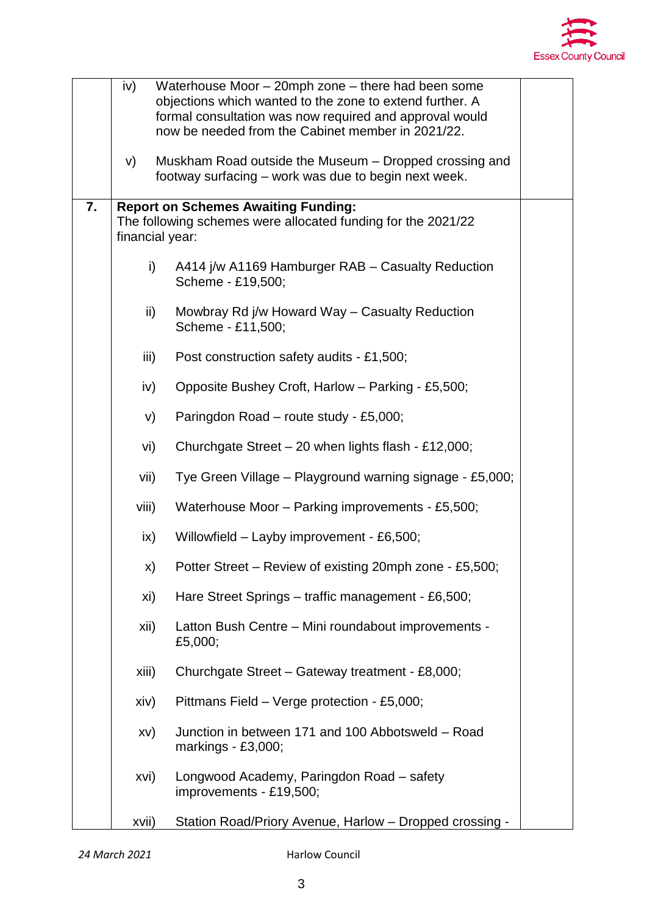

|    | iv)                                                                                                                           | Waterhouse Moor - 20mph zone - there had been some<br>objections which wanted to the zone to extend further. A<br>formal consultation was now required and approval would<br>now be needed from the Cabinet member in 2021/22. |  |  |  |  |  |
|----|-------------------------------------------------------------------------------------------------------------------------------|--------------------------------------------------------------------------------------------------------------------------------------------------------------------------------------------------------------------------------|--|--|--|--|--|
|    | V)                                                                                                                            | Muskham Road outside the Museum – Dropped crossing and<br>footway surfacing – work was due to begin next week.                                                                                                                 |  |  |  |  |  |
| 7. | <b>Report on Schemes Awaiting Funding:</b><br>The following schemes were allocated funding for the 2021/22<br>financial year: |                                                                                                                                                                                                                                |  |  |  |  |  |
|    | $\mathsf{i}$                                                                                                                  | A414 j/w A1169 Hamburger RAB - Casualty Reduction<br>Scheme - £19,500;                                                                                                                                                         |  |  |  |  |  |
|    | ii)                                                                                                                           | Mowbray Rd j/w Howard Way - Casualty Reduction<br>Scheme - £11,500;                                                                                                                                                            |  |  |  |  |  |
|    | iii)                                                                                                                          | Post construction safety audits - £1,500;                                                                                                                                                                                      |  |  |  |  |  |
|    | iv)                                                                                                                           | Opposite Bushey Croft, Harlow - Parking - £5,500;                                                                                                                                                                              |  |  |  |  |  |
|    | V)                                                                                                                            | Paringdon Road - route study - £5,000;                                                                                                                                                                                         |  |  |  |  |  |
|    | vi)                                                                                                                           | Churchgate Street - 20 when lights flash - £12,000;                                                                                                                                                                            |  |  |  |  |  |
|    | vii)                                                                                                                          | Tye Green Village - Playground warning signage - £5,000;                                                                                                                                                                       |  |  |  |  |  |
|    | viii)                                                                                                                         | Waterhouse Moor - Parking improvements - £5,500;                                                                                                                                                                               |  |  |  |  |  |
|    | $\mathsf{ix}$                                                                                                                 | Willowfield - Layby improvement - £6,500;                                                                                                                                                                                      |  |  |  |  |  |
|    | X)                                                                                                                            | Potter Street – Review of existing 20mph zone - £5,500;                                                                                                                                                                        |  |  |  |  |  |
|    | xi)                                                                                                                           | Hare Street Springs - traffic management - £6,500;                                                                                                                                                                             |  |  |  |  |  |
|    | xii)                                                                                                                          | Latton Bush Centre - Mini roundabout improvements -<br>£5,000;                                                                                                                                                                 |  |  |  |  |  |
|    | xiii)                                                                                                                         | Churchgate Street - Gateway treatment - £8,000;                                                                                                                                                                                |  |  |  |  |  |
|    | xiv)                                                                                                                          | Pittmans Field - Verge protection - £5,000;                                                                                                                                                                                    |  |  |  |  |  |
|    | XV)                                                                                                                           | Junction in between 171 and 100 Abbotsweld - Road<br>markings - £3,000;                                                                                                                                                        |  |  |  |  |  |
|    | xvi)                                                                                                                          | Longwood Academy, Paringdon Road - safety<br>improvements - £19,500;                                                                                                                                                           |  |  |  |  |  |
|    | xvii)                                                                                                                         | Station Road/Priory Avenue, Harlow - Dropped crossing -                                                                                                                                                                        |  |  |  |  |  |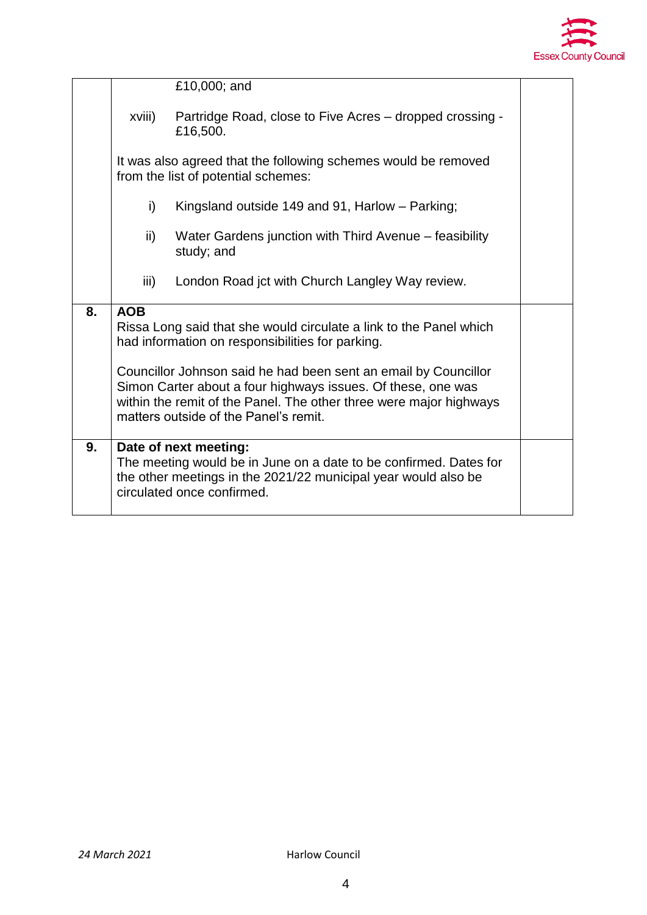

|                                                                                                                                                                                                                                                | £10,000; and                                                         |                                                                                                                                                                                            |  |  |  |
|------------------------------------------------------------------------------------------------------------------------------------------------------------------------------------------------------------------------------------------------|----------------------------------------------------------------------|--------------------------------------------------------------------------------------------------------------------------------------------------------------------------------------------|--|--|--|
| xviii)                                                                                                                                                                                                                                         | Partridge Road, close to Five Acres – dropped crossing -<br>£16,500. |                                                                                                                                                                                            |  |  |  |
| It was also agreed that the following schemes would be removed<br>from the list of potential schemes:                                                                                                                                          |                                                                      |                                                                                                                                                                                            |  |  |  |
| i)<br>Kingsland outside 149 and 91, Harlow - Parking;                                                                                                                                                                                          |                                                                      |                                                                                                                                                                                            |  |  |  |
| $\mathsf{ii}$                                                                                                                                                                                                                                  | Water Gardens junction with Third Avenue – feasibility<br>study; and |                                                                                                                                                                                            |  |  |  |
| iii)                                                                                                                                                                                                                                           | London Road jct with Church Langley Way review.                      |                                                                                                                                                                                            |  |  |  |
| <b>AOB</b><br>Rissa Long said that she would circulate a link to the Panel which<br>had information on responsibilities for parking.                                                                                                           |                                                                      |                                                                                                                                                                                            |  |  |  |
| Councillor Johnson said he had been sent an email by Councillor<br>Simon Carter about a four highways issues. Of these, one was<br>within the remit of the Panel. The other three were major highways<br>matters outside of the Panel's remit. |                                                                      |                                                                                                                                                                                            |  |  |  |
|                                                                                                                                                                                                                                                |                                                                      |                                                                                                                                                                                            |  |  |  |
|                                                                                                                                                                                                                                                |                                                                      | Date of next meeting:<br>The meeting would be in June on a date to be confirmed. Dates for<br>the other meetings in the 2021/22 municipal year would also be<br>circulated once confirmed. |  |  |  |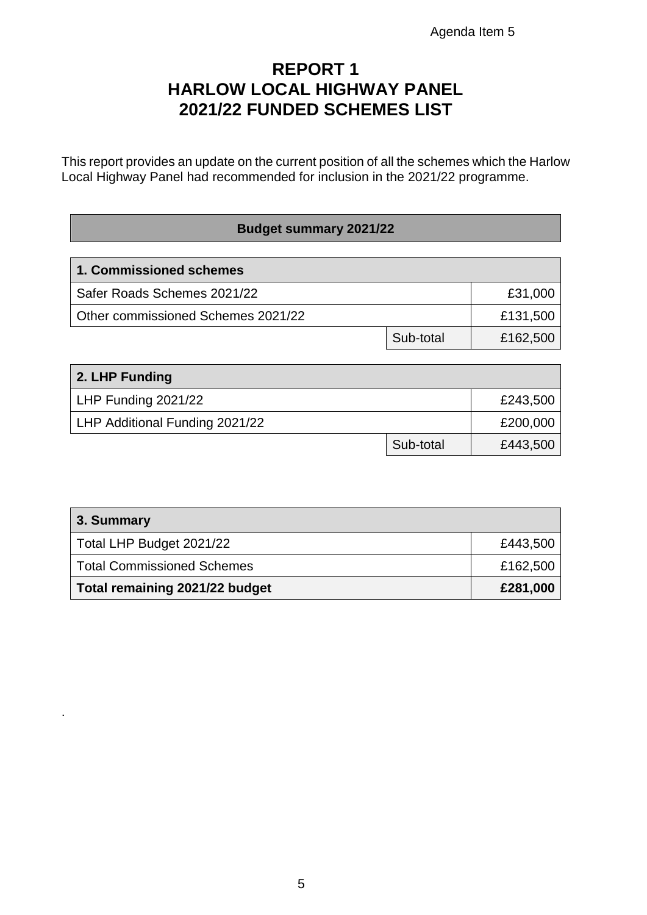### **REPORT 1 HARLOW LOCAL HIGHWAY PANEL 2021/22 FUNDED SCHEMES LIST**

This report provides an update on the current position of all the schemes which the Harlow Local Highway Panel had recommended for inclusion in the 2021/22 programme.

#### **Budget summary 2021/22**

| 1. Commissioned schemes            |           |          |
|------------------------------------|-----------|----------|
| Safer Roads Schemes 2021/22        |           | £31,000  |
| Other commissioned Schemes 2021/22 |           | £131,500 |
|                                    | Sub-total | £162,500 |

| 2. LHP Funding                 |           |          |
|--------------------------------|-----------|----------|
| LHP Funding 2021/22            |           | £243,500 |
| LHP Additional Funding 2021/22 |           | £200,000 |
|                                | Sub-total | £443,500 |

| 3. Summary                     |          |
|--------------------------------|----------|
| Total LHP Budget 2021/22       | £443,500 |
| Total Commissioned Schemes     | £162,500 |
| Total remaining 2021/22 budget | £281,000 |

.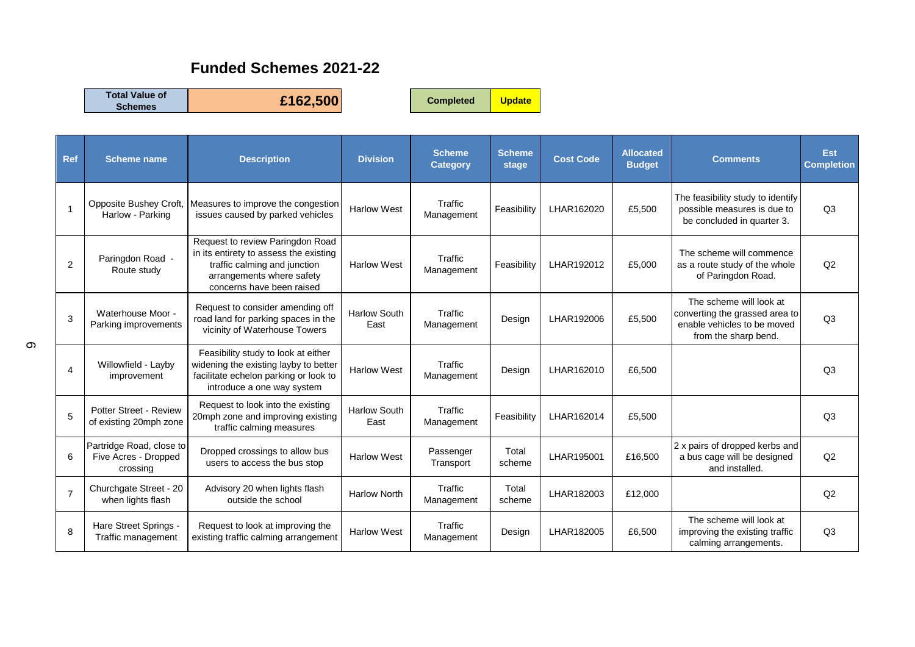#### **Funded Schemes 2021-22**

**Total Value of** 

**Schemes £162,500 Completed Update**

| <b>Ref</b>     | <b>Scheme name</b>                                           | <b>Description</b>                                                                                                                                                   | <b>Division</b>             | <b>Scheme</b><br><b>Category</b> | <b>Scheme</b><br>stage | <b>Cost Code</b> | <b>Allocated</b><br><b>Budget</b> | <b>Comments</b>                                                                                                  | <b>Est</b><br><b>Completion</b> |
|----------------|--------------------------------------------------------------|----------------------------------------------------------------------------------------------------------------------------------------------------------------------|-----------------------------|----------------------------------|------------------------|------------------|-----------------------------------|------------------------------------------------------------------------------------------------------------------|---------------------------------|
| 1              | Opposite Bushey Croft,<br>Harlow - Parking                   | Measures to improve the congestion<br>issues caused by parked vehicles                                                                                               | <b>Harlow West</b>          | Traffic<br>Management            | Feasibility            | LHAR162020       | £5,500                            | The feasibility study to identify<br>possible measures is due to<br>be concluded in quarter 3.                   | Q <sub>3</sub>                  |
| 2              | Paringdon Road -<br>Route study                              | Request to review Paringdon Road<br>in its entirety to assess the existing<br>traffic calming and junction<br>arrangements where safety<br>concerns have been raised | <b>Harlow West</b>          | Traffic<br>Management            | Feasibility            | LHAR192012       | £5,000                            | The scheme will commence<br>as a route study of the whole<br>of Paringdon Road.                                  | Q2                              |
| 3              | Waterhouse Moor -<br>Parking improvements                    | Request to consider amending off<br>road land for parking spaces in the<br>vicinity of Waterhouse Towers                                                             | <b>Harlow South</b><br>East | Traffic<br>Management            | Design                 | LHAR192006       | £5,500                            | The scheme will look at<br>converting the grassed area to<br>enable vehicles to be moved<br>from the sharp bend. | Q <sub>3</sub>                  |
| 4              | Willowfield - Layby<br>improvement                           | Feasibility study to look at either<br>widening the existing layby to better<br>facilitate echelon parking or look to<br>introduce a one way system                  | <b>Harlow West</b>          | Traffic<br>Management            | Design                 | LHAR162010       | £6,500                            |                                                                                                                  | Q <sub>3</sub>                  |
| 5              | Potter Street - Review<br>of existing 20mph zone             | Request to look into the existing<br>20mph zone and improving existing<br>traffic calming measures                                                                   | <b>Harlow South</b><br>East | Traffic<br>Management            | Feasibility            | LHAR162014       | £5,500                            |                                                                                                                  | Q <sub>3</sub>                  |
| 6              | Partridge Road, close to<br>Five Acres - Dropped<br>crossing | Dropped crossings to allow bus<br>users to access the bus stop                                                                                                       | <b>Harlow West</b>          | Passenger<br>Transport           | Total<br>scheme        | LHAR195001       | £16,500                           | 2 x pairs of dropped kerbs and<br>a bus cage will be designed<br>and installed.                                  | Q2                              |
| $\overline{7}$ | Churchgate Street - 20<br>when lights flash                  | Advisory 20 when lights flash<br>outside the school                                                                                                                  | <b>Harlow North</b>         | Traffic<br>Management            | Total<br>scheme        | LHAR182003       | £12,000                           |                                                                                                                  | Q <sub>2</sub>                  |
| 8              | Hare Street Springs -<br>Traffic management                  | Request to look at improving the<br>existing traffic calming arrangement                                                                                             | <b>Harlow West</b>          | <b>Traffic</b><br>Management     | Design                 | LHAR182005       | £6,500                            | The scheme will look at<br>improving the existing traffic<br>calming arrangements.                               | Q <sub>3</sub>                  |

 $\infty$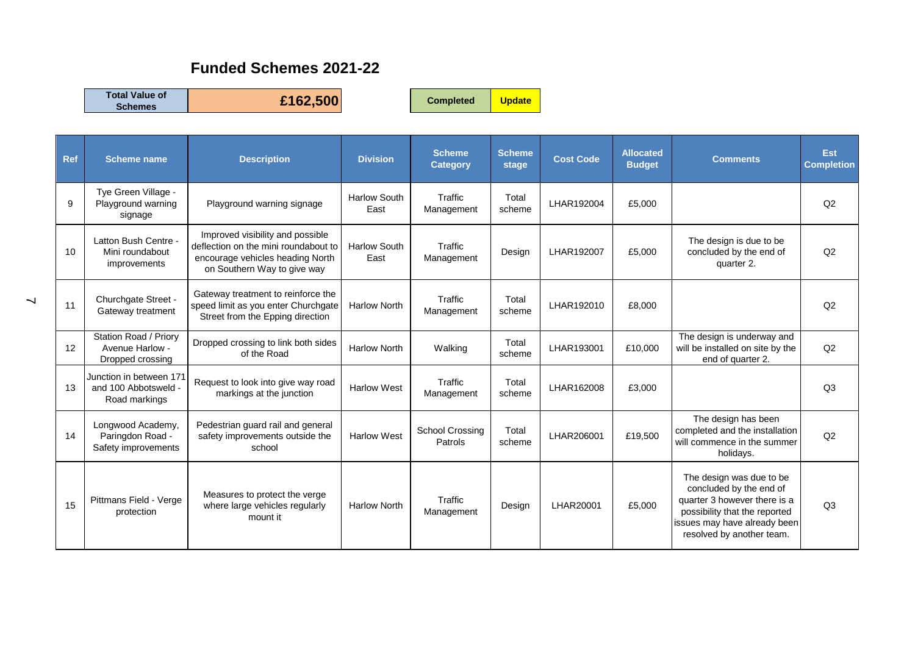#### **Funded Schemes 2021-22**

**Total Value of** 

**Schemes £162,500 Completed Update**

| <b>Ref</b> | <b>Scheme name</b>                                               | <b>Description</b>                                                                                                                          | <b>Division</b>             | <b>Scheme</b><br><b>Category</b> | <b>Scheme</b><br>stage | <b>Cost Code</b> | <b>Allocated</b><br><b>Budget</b> | <b>Comments</b>                                                                                                                                                                   | <b>Est</b><br><b>Completion</b> |
|------------|------------------------------------------------------------------|---------------------------------------------------------------------------------------------------------------------------------------------|-----------------------------|----------------------------------|------------------------|------------------|-----------------------------------|-----------------------------------------------------------------------------------------------------------------------------------------------------------------------------------|---------------------------------|
| 9          | Tye Green Village -<br>Playground warning<br>signage             | Playground warning signage                                                                                                                  | <b>Harlow South</b><br>East | Traffic<br>Management            | Total<br>scheme        | LHAR192004       | £5,000                            |                                                                                                                                                                                   | Q2                              |
| 10         | Latton Bush Centre -<br>Mini roundabout<br>improvements          | Improved visibility and possible<br>deflection on the mini roundabout to<br>encourage vehicles heading North<br>on Southern Way to give way | <b>Harlow South</b><br>East | Traffic<br>Management            | Design                 | LHAR192007       | £5,000                            | The design is due to be<br>concluded by the end of<br>quarter 2.                                                                                                                  | Q2                              |
| 11         | Churchgate Street -<br>Gateway treatment                         | Gateway treatment to reinforce the<br>speed limit as you enter Churchgate<br>Street from the Epping direction                               | <b>Harlow North</b>         | Traffic<br>Management            | Total<br>scheme        | LHAR192010       | £8,000                            |                                                                                                                                                                                   | Q <sub>2</sub>                  |
| 12         | Station Road / Priory<br>Avenue Harlow -<br>Dropped crossing     | Dropped crossing to link both sides<br>of the Road                                                                                          | <b>Harlow North</b>         | Walking                          | Total<br>scheme        | LHAR193001       | £10,000                           | The design is underway and<br>will be installed on site by the<br>end of quarter 2.                                                                                               | Q2                              |
| 13         | Junction in between 171<br>and 100 Abbotsweld -<br>Road markings | Request to look into give way road<br>markings at the junction                                                                              | <b>Harlow West</b>          | Traffic<br>Management            | Total<br>scheme        | LHAR162008       | £3,000                            |                                                                                                                                                                                   | Q <sub>3</sub>                  |
| 14         | Longwood Academy,<br>Paringdon Road -<br>Safety improvements     | Pedestrian guard rail and general<br>safety improvements outside the<br>school                                                              | <b>Harlow West</b>          | School Crossing<br>Patrols       | Total<br>scheme        | LHAR206001       | £19,500                           | The design has been<br>completed and the installation<br>will commence in the summer<br>holidays.                                                                                 | Q2                              |
| 15         | Pittmans Field - Verge<br>protection                             | Measures to protect the verge<br>where large vehicles regularly<br>mount it                                                                 | <b>Harlow North</b>         | Traffic<br>Management            | Design                 | LHAR20001        | £5,000                            | The design was due to be<br>concluded by the end of<br>quarter 3 however there is a<br>possibility that the reported<br>issues may have already been<br>resolved by another team. | Q <sub>3</sub>                  |

 $\overline{\phantom{0}}$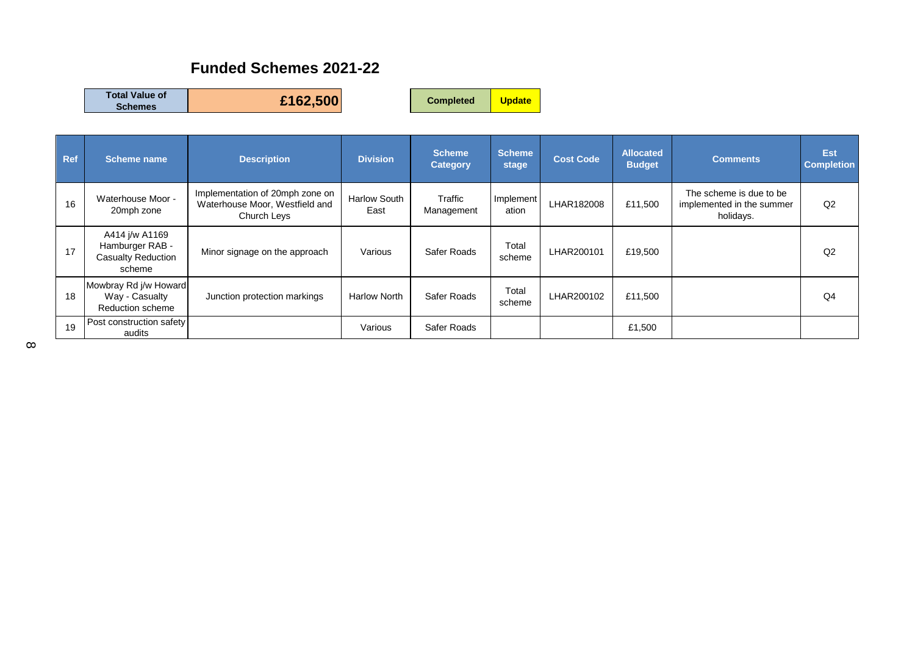#### **Funded Schemes 2021-22**

| <b>Total Value of</b><br><b>Schemes</b> | £162,500 | <b>Completed</b> | <b>Update</b> |
|-----------------------------------------|----------|------------------|---------------|
|-----------------------------------------|----------|------------------|---------------|

| <b>Ref</b> | Scheme name                                                              | <b>Description</b>                                                               | <b>Division</b>             | <b>Scheme</b><br><b>Category</b> | <b>Scheme</b><br>stage | <b>Cost Code</b> | <b>Allocated</b><br><b>Budget</b> | <b>Comments</b>                                                   | Est<br><b>Completion</b> |
|------------|--------------------------------------------------------------------------|----------------------------------------------------------------------------------|-----------------------------|----------------------------------|------------------------|------------------|-----------------------------------|-------------------------------------------------------------------|--------------------------|
| 16         | Waterhouse Moor -<br>20mph zone                                          | Implementation of 20mph zone on<br>Waterhouse Moor, Westfield and<br>Church Leys | <b>Harlow South</b><br>East | Traffic<br>Management            | Implement<br>ation     | LHAR182008       | £11,500                           | The scheme is due to be<br>implemented in the summer<br>holidays. | Q2                       |
| 17         | A414 j/w A1169<br>Hamburger RAB -<br><b>Casualty Reduction</b><br>scheme | Minor signage on the approach                                                    | Various                     | Safer Roads                      | Total<br>scheme        | LHAR200101       | £19,500                           |                                                                   | Q <sub>2</sub>           |
| 18         | Mowbray Rd j/w Howard<br>Way - Casualty<br>Reduction scheme              | Junction protection markings                                                     | <b>Harlow North</b>         | Safer Roads                      | Total<br>scheme        | LHAR200102       | £11,500                           |                                                                   | Q4                       |
| 19         | Post construction safety<br>audits                                       |                                                                                  | Various                     | Safer Roads                      |                        |                  | £1,500                            |                                                                   |                          |

 $\infty$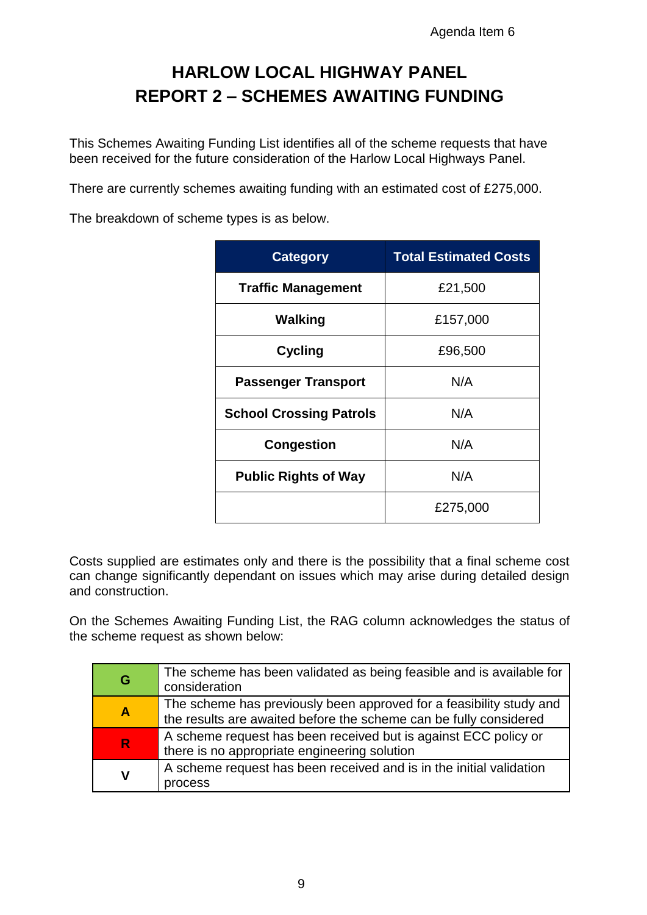## **HARLOW LOCAL HIGHWAY PANEL REPORT 2 – SCHEMES AWAITING FUNDING**

This Schemes Awaiting Funding List identifies all of the scheme requests that have been received for the future consideration of the Harlow Local Highways Panel.

There are currently schemes awaiting funding with an estimated cost of £275,000.

The breakdown of scheme types is as below.

| <b>Category</b>                | <b>Total Estimated Costs</b> |
|--------------------------------|------------------------------|
| <b>Traffic Management</b>      | £21,500                      |
| <b>Walking</b>                 | £157,000                     |
| <b>Cycling</b>                 | £96,500                      |
| <b>Passenger Transport</b>     | N/A                          |
| <b>School Crossing Patrols</b> | N/A                          |
| <b>Congestion</b>              | N/A                          |
| <b>Public Rights of Way</b>    | N/A                          |
|                                | £275,000                     |

Costs supplied are estimates only and there is the possibility that a final scheme cost can change significantly dependant on issues which may arise during detailed design and construction.

On the Schemes Awaiting Funding List, the RAG column acknowledges the status of the scheme request as shown below:

| G                       | The scheme has been validated as being feasible and is available for<br>consideration                                                    |
|-------------------------|------------------------------------------------------------------------------------------------------------------------------------------|
| $\overline{\mathsf{A}}$ | The scheme has previously been approved for a feasibility study and<br>the results are awaited before the scheme can be fully considered |
| $\mathsf{R}$            | A scheme request has been received but is against ECC policy or<br>there is no appropriate engineering solution                          |
| ۷                       | A scheme request has been received and is in the initial validation<br>process                                                           |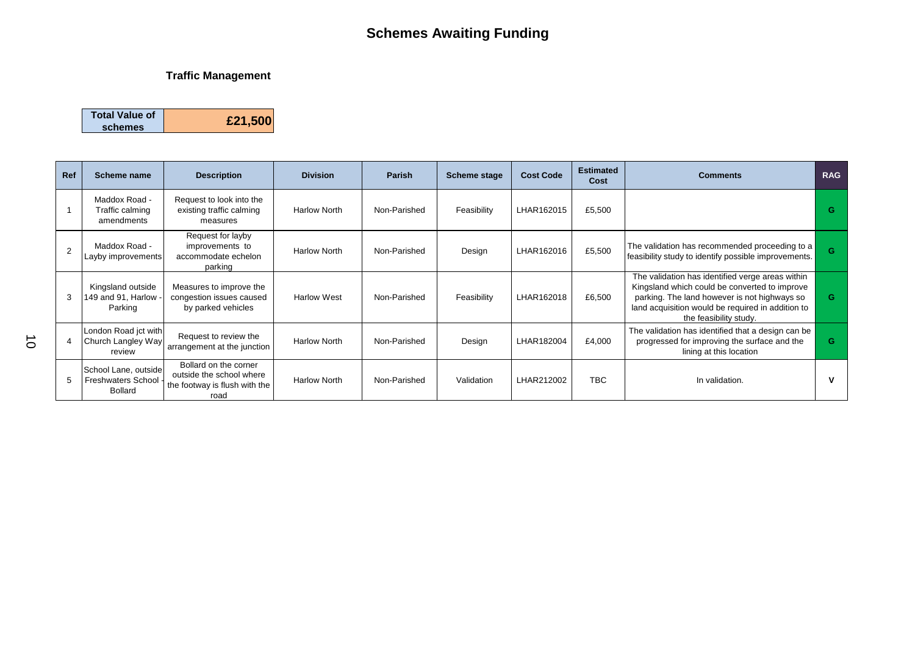#### **Traffic Management**

| <b>Total Value of</b> |         |
|-----------------------|---------|
| schemes               | £21,500 |

| Ref | Scheme name                                                         | <b>Description</b>                                                                         | <b>Division</b>     | <b>Parish</b> | <b>Scheme stage</b> | <b>Cost Code</b> | <b>Estimated</b><br>Cost | <b>Comments</b>                                                                                                                                                                                                                  | <b>RAG</b> |
|-----|---------------------------------------------------------------------|--------------------------------------------------------------------------------------------|---------------------|---------------|---------------------|------------------|--------------------------|----------------------------------------------------------------------------------------------------------------------------------------------------------------------------------------------------------------------------------|------------|
|     | Maddox Road -<br>Traffic calming<br>amendments                      | Request to look into the<br>existing traffic calming<br>measures                           | <b>Harlow North</b> | Non-Parished  | Feasibility         | LHAR162015       | £5,500                   |                                                                                                                                                                                                                                  | G          |
|     | Maddox Road -<br>Layby improvements                                 | Request for layby<br>improvements to<br>accommodate echelon<br>parking                     | <b>Harlow North</b> | Non-Parished  | Design              | LHAR162016       | £5,500                   | The validation has recommended proceeding to a<br>feasibility study to identify possible improvements.                                                                                                                           | G          |
|     | Kingsland outside<br>149 and 91, Harlow<br>Parking                  | Measures to improve the<br>congestion issues caused<br>by parked vehicles                  | <b>Harlow West</b>  | Non-Parished  | Feasibility         | LHAR162018       | £6,500                   | The validation has identified verge areas within<br>Kingsland which could be converted to improve<br>parking. The land however is not highways so<br>land acquisition would be required in addition to<br>the feasibility study. | G          |
|     | London Road jct with<br>Church Langley Way<br>review                | Request to review the<br>arrangement at the junction                                       | <b>Harlow North</b> | Non-Parished  | Design              | LHAR182004       | £4,000                   | The validation has identified that a design can be<br>progressed for improving the surface and the<br>lining at this location                                                                                                    | G.         |
|     | School Lane, outside<br><b>Freshwaters School</b><br><b>Bollard</b> | Bollard on the corner<br>outside the school where<br>the footway is flush with the<br>road | <b>Harlow North</b> | Non-Parished  | Validation          | LHAR212002       | TBC.                     | In validation.                                                                                                                                                                                                                   |            |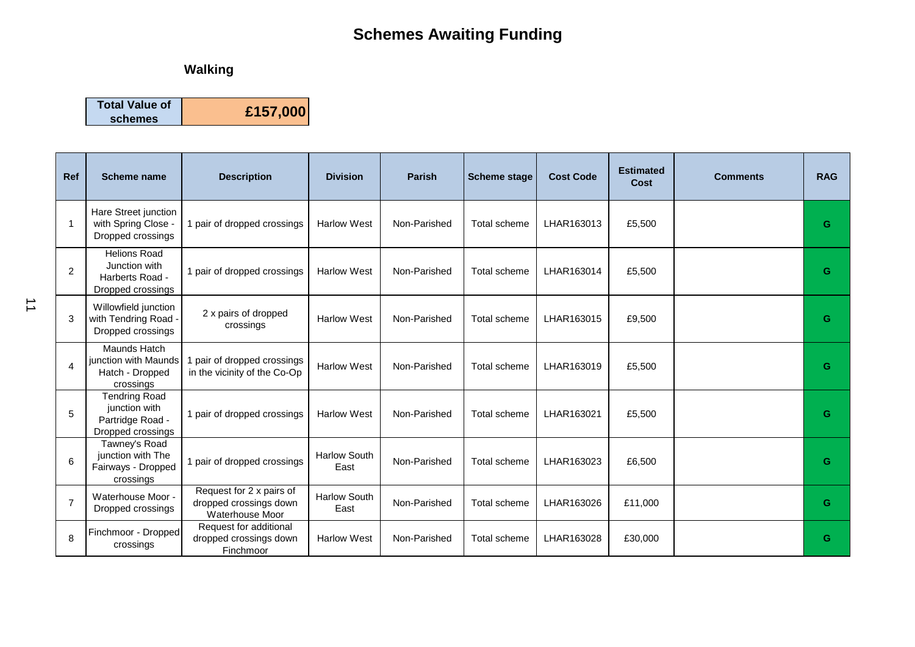#### **Walking**

**Total Value of** 

**schemes £157,000**

| <b>Ref</b>     | <b>Scheme name</b>                                                             | <b>Description</b>                                                    | <b>Division</b>             | <b>Parish</b> | <b>Scheme stage</b> | <b>Cost Code</b> | <b>Estimated</b><br><b>Cost</b> | <b>Comments</b> | <b>RAG</b> |
|----------------|--------------------------------------------------------------------------------|-----------------------------------------------------------------------|-----------------------------|---------------|---------------------|------------------|---------------------------------|-----------------|------------|
| -1             | Hare Street junction<br>with Spring Close -<br>Dropped crossings               | 1 pair of dropped crossings                                           | <b>Harlow West</b>          | Non-Parished  | Total scheme        | LHAR163013       | £5,500                          |                 | G          |
| 2              | <b>Helions Road</b><br>Junction with<br>Harberts Road -<br>Dropped crossings   | 1 pair of dropped crossings                                           | <b>Harlow West</b>          | Non-Parished  | Total scheme        | LHAR163014       | £5,500                          |                 | G          |
| 3              | Willowfield junction<br>with Tendring Road -<br>Dropped crossings              | 2 x pairs of dropped<br>crossings                                     | <b>Harlow West</b>          | Non-Parished  | Total scheme        | LHAR163015       | £9,500                          |                 | G          |
| $\overline{4}$ | Maunds Hatch<br>junction with Maunds<br>Hatch - Dropped<br>crossings           | pair of dropped crossings<br>in the vicinity of the Co-Op             | <b>Harlow West</b>          | Non-Parished  | Total scheme        | LHAR163019       | £5,500                          |                 | G          |
| 5              | <b>Tendring Road</b><br>junction with<br>Partridge Road -<br>Dropped crossings | 1 pair of dropped crossings                                           | <b>Harlow West</b>          | Non-Parished  | Total scheme        | LHAR163021       | £5,500                          |                 | G          |
| 6              | Tawney's Road<br>junction with The<br>Fairways - Dropped<br>crossings          | 1 pair of dropped crossings                                           | <b>Harlow South</b><br>East | Non-Parished  | Total scheme        | LHAR163023       | £6,500                          |                 | G          |
| $\overline{7}$ | Waterhouse Moor -<br>Dropped crossings                                         | Request for 2 x pairs of<br>dropped crossings down<br>Waterhouse Moor | <b>Harlow South</b><br>East | Non-Parished  | <b>Total scheme</b> | LHAR163026       | £11,000                         |                 | G          |
| 8              | Finchmoor - Dropped<br>crossings                                               | Request for additional<br>dropped crossings down<br>Finchmoor         | <b>Harlow West</b>          | Non-Parished  | Total scheme        | LHAR163028       | £30,000                         |                 | G          |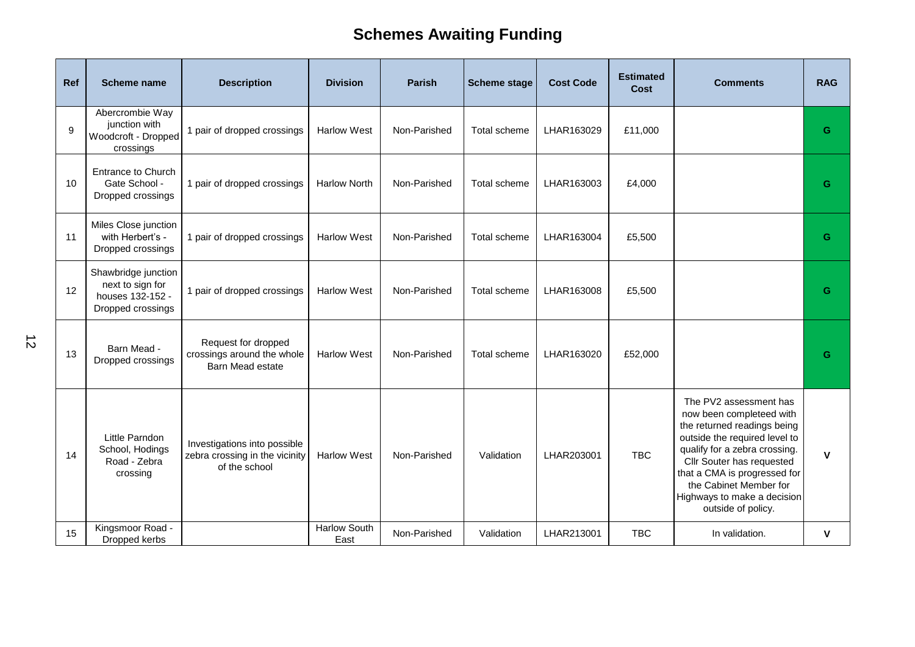| Ref | Scheme name                                                                      | <b>Description</b>                                                              | <b>Division</b>             | <b>Parish</b> | <b>Scheme stage</b> | <b>Cost Code</b> | <b>Estimated</b><br><b>Cost</b> | <b>Comments</b>                                                                                                                                                                                                                                                                                 | <b>RAG</b>   |
|-----|----------------------------------------------------------------------------------|---------------------------------------------------------------------------------|-----------------------------|---------------|---------------------|------------------|---------------------------------|-------------------------------------------------------------------------------------------------------------------------------------------------------------------------------------------------------------------------------------------------------------------------------------------------|--------------|
| 9   | Abercrombie Way<br>junction with<br>Woodcroft - Dropped<br>crossings             | 1 pair of dropped crossings                                                     | <b>Harlow West</b>          | Non-Parished  | Total scheme        | LHAR163029       | £11,000                         |                                                                                                                                                                                                                                                                                                 | G            |
| 10  | <b>Entrance to Church</b><br>Gate School -<br>Dropped crossings                  | 1 pair of dropped crossings                                                     | <b>Harlow North</b>         | Non-Parished  | Total scheme        | LHAR163003       | £4,000                          |                                                                                                                                                                                                                                                                                                 | G            |
| 11  | Miles Close junction<br>with Herbert's -<br>Dropped crossings                    | 1 pair of dropped crossings                                                     | <b>Harlow West</b>          | Non-Parished  | Total scheme        | LHAR163004       | £5,500                          |                                                                                                                                                                                                                                                                                                 | G            |
| 12  | Shawbridge junction<br>next to sign for<br>houses 132-152 -<br>Dropped crossings | 1 pair of dropped crossings                                                     | <b>Harlow West</b>          | Non-Parished  | Total scheme        | LHAR163008       | £5,500                          |                                                                                                                                                                                                                                                                                                 | G            |
| 13  | Barn Mead -<br>Dropped crossings                                                 | Request for dropped<br>crossings around the whole<br>Barn Mead estate           | <b>Harlow West</b>          | Non-Parished  | Total scheme        | LHAR163020       | £52,000                         |                                                                                                                                                                                                                                                                                                 | G            |
| 14  | Little Parndon<br>School, Hodings<br>Road - Zebra<br>crossing                    | Investigations into possible<br>zebra crossing in the vicinity<br>of the school | <b>Harlow West</b>          | Non-Parished  | Validation          | LHAR203001       | <b>TBC</b>                      | The PV2 assessment has<br>now been completeed with<br>the returned readings being<br>outside the required level to<br>qualify for a zebra crossing.<br>Cllr Souter has requested<br>that a CMA is progressed for<br>the Cabinet Member for<br>Highways to make a decision<br>outside of policy. | $\mathbf v$  |
| 15  | Kingsmoor Road -<br>Dropped kerbs                                                |                                                                                 | <b>Harlow South</b><br>East | Non-Parished  | Validation          | LHAR213001       | <b>TBC</b>                      | In validation.                                                                                                                                                                                                                                                                                  | $\mathbf{V}$ |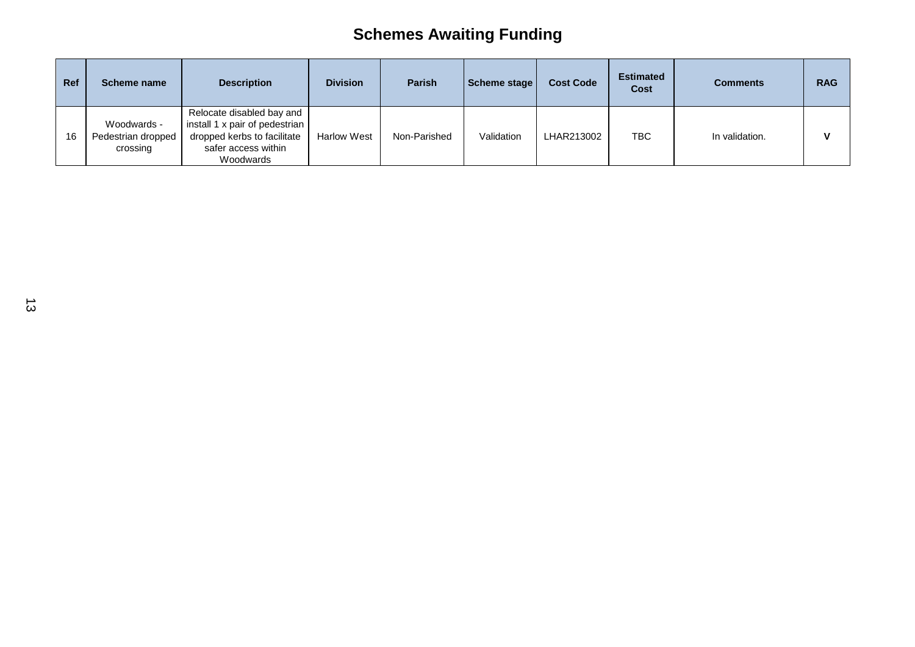| Ref | Scheme name                                   | <b>Description</b>                                                                                                             | <b>Division</b>    | <b>Parish</b> | Scheme stage | <b>Cost Code</b> | <b>Estimated</b><br>Cost | <b>Comments</b> | <b>RAG</b> |
|-----|-----------------------------------------------|--------------------------------------------------------------------------------------------------------------------------------|--------------------|---------------|--------------|------------------|--------------------------|-----------------|------------|
| 16  | Woodwards -<br>Pedestrian dropped<br>crossing | Relocate disabled bay and<br>install 1 x pair of pedestrian<br>dropped kerbs to facilitate<br>safer access within<br>Woodwards | <b>Harlow West</b> | Non-Parished  | Validation   | LHAR213002       | <b>TBC</b>               | In validation.  |            |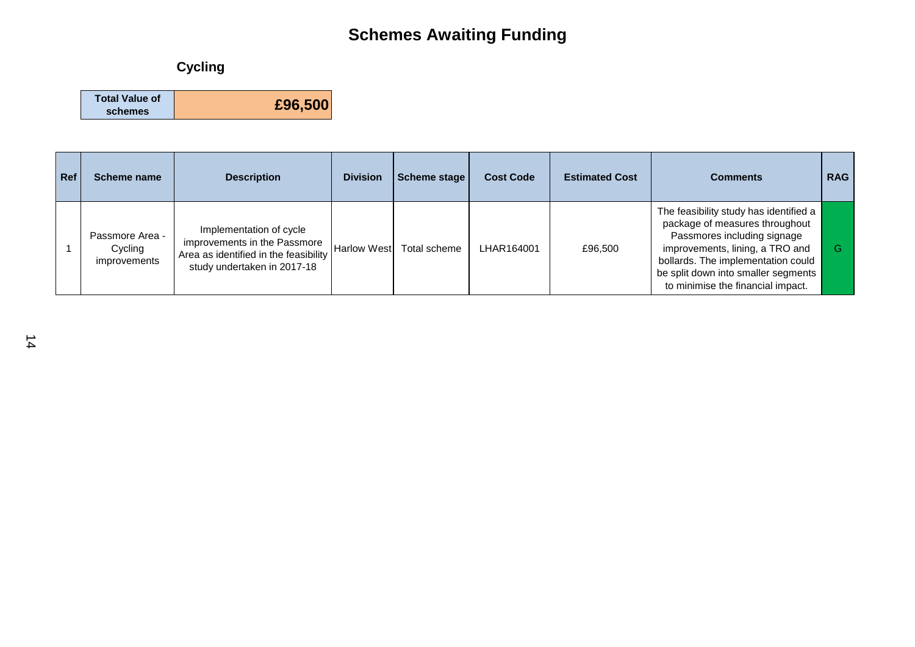## **Cycling**

| <b>Total Value of</b> |         |
|-----------------------|---------|
| schemes               | £96,500 |

| Ref | Scheme name                                | <b>Description</b>                                                                                                              | <b>Division</b>    | Scheme stage | <b>Cost Code</b> | <b>Estimated Cost</b> | <b>Comments</b>                                                                                                                                                                                                                                              | <b>RAG</b> |
|-----|--------------------------------------------|---------------------------------------------------------------------------------------------------------------------------------|--------------------|--------------|------------------|-----------------------|--------------------------------------------------------------------------------------------------------------------------------------------------------------------------------------------------------------------------------------------------------------|------------|
|     | Passmore Area -<br>Cycling<br>improvements | Implementation of cycle<br>improvements in the Passmore<br>Area as identified in the feasibility<br>study undertaken in 2017-18 | <b>Harlow West</b> | Total scheme | LHAR164001       | £96,500               | The feasibility study has identified a<br>package of measures throughout<br>Passmores including signage<br>improvements, lining, a TRO and<br>bollards. The implementation could<br>be split down into smaller segments<br>to minimise the financial impact. |            |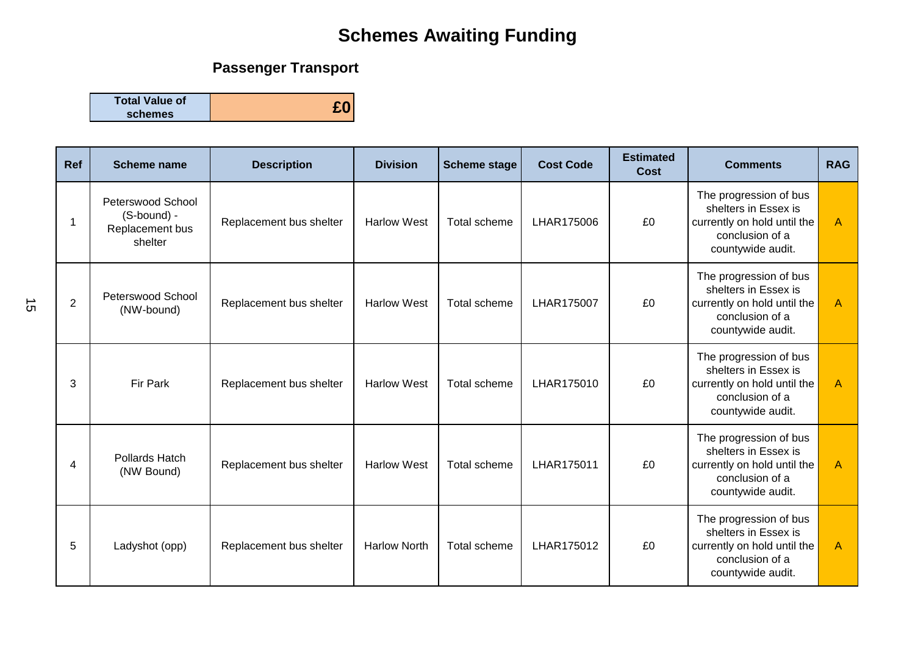## **Passenger Transport**

**Total Value of schemes £0**

| <b>Ref</b>     | <b>Scheme name</b>                                             | <b>Description</b>      | <b>Division</b>     | <b>Scheme stage</b> | <b>Cost Code</b> | <b>Estimated</b><br>Cost | <b>Comments</b>                                                                                                       | <b>RAG</b>     |
|----------------|----------------------------------------------------------------|-------------------------|---------------------|---------------------|------------------|--------------------------|-----------------------------------------------------------------------------------------------------------------------|----------------|
|                | Peterswood School<br>(S-bound) -<br>Replacement bus<br>shelter | Replacement bus shelter | <b>Harlow West</b>  | Total scheme        | LHAR175006       | £0                       | The progression of bus<br>shelters in Essex is<br>currently on hold until the<br>conclusion of a<br>countywide audit. | $\overline{A}$ |
| $\overline{c}$ | <b>Peterswood School</b><br>(NW-bound)                         | Replacement bus shelter | <b>Harlow West</b>  | Total scheme        | LHAR175007       | £0                       | The progression of bus<br>shelters in Essex is<br>currently on hold until the<br>conclusion of a<br>countywide audit. | $\overline{A}$ |
| 3              | Fir Park                                                       | Replacement bus shelter | <b>Harlow West</b>  | Total scheme        | LHAR175010       | £0                       | The progression of bus<br>shelters in Essex is<br>currently on hold until the<br>conclusion of a<br>countywide audit. | $\overline{A}$ |
| 4              | Pollards Hatch<br>(NW Bound)                                   | Replacement bus shelter | <b>Harlow West</b>  | Total scheme        | LHAR175011       | £0                       | The progression of bus<br>shelters in Essex is<br>currently on hold until the<br>conclusion of a<br>countywide audit. | $\mathsf{A}$   |
| 5              | Ladyshot (opp)                                                 | Replacement bus shelter | <b>Harlow North</b> | Total scheme        | LHAR175012       | £0                       | The progression of bus<br>shelters in Essex is<br>currently on hold until the<br>conclusion of a<br>countywide audit. | $\overline{A}$ |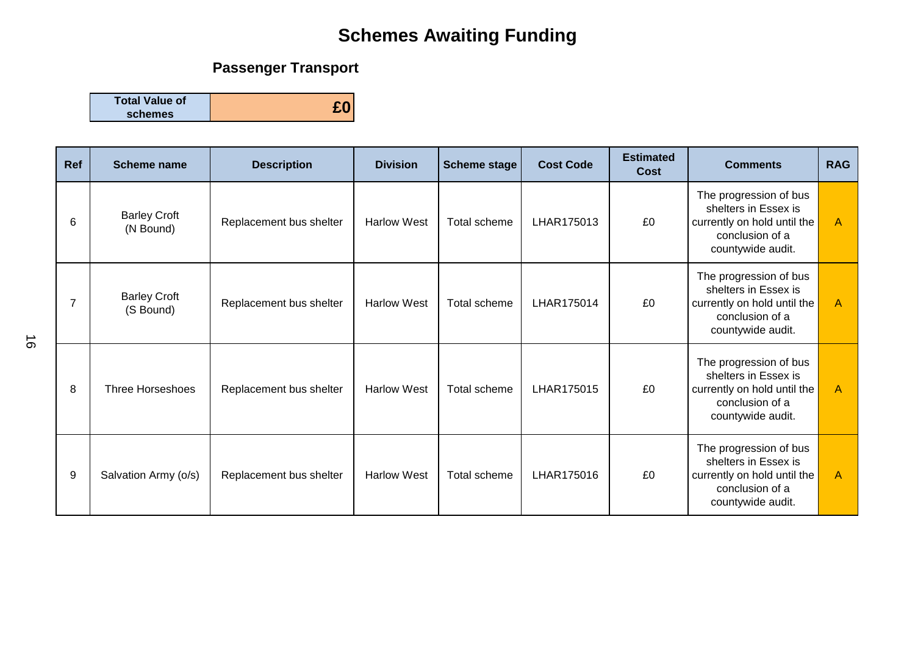## **Passenger Transport**

**Total Value of schemes £0**

| Ref | <b>Scheme name</b>               | <b>Description</b>      | <b>Division</b>    | <b>Scheme stage</b> | <b>Cost Code</b> | <b>Estimated</b><br>Cost | <b>Comments</b>                                                                                                       | <b>RAG</b>     |
|-----|----------------------------------|-------------------------|--------------------|---------------------|------------------|--------------------------|-----------------------------------------------------------------------------------------------------------------------|----------------|
| 6   | <b>Barley Croft</b><br>(N Bound) | Replacement bus shelter | <b>Harlow West</b> | Total scheme        | LHAR175013       | £0                       | The progression of bus<br>shelters in Essex is<br>currently on hold until the<br>conclusion of a<br>countywide audit. | $\mathsf{A}$   |
|     | <b>Barley Croft</b><br>(S Bound) | Replacement bus shelter | <b>Harlow West</b> | Total scheme        | LHAR175014       | £0                       | The progression of bus<br>shelters in Essex is<br>currently on hold until the<br>conclusion of a<br>countywide audit. | $\overline{A}$ |
| 8   | <b>Three Horseshoes</b>          | Replacement bus shelter | <b>Harlow West</b> | Total scheme        | LHAR175015       | £0                       | The progression of bus<br>shelters in Essex is<br>currently on hold until the<br>conclusion of a<br>countywide audit. | $\overline{A}$ |
| 9   | Salvation Army (o/s)             | Replacement bus shelter | <b>Harlow West</b> | Total scheme        | LHAR175016       | £0                       | The progression of bus<br>shelters in Essex is<br>currently on hold until the<br>conclusion of a<br>countywide audit. | $\overline{A}$ |